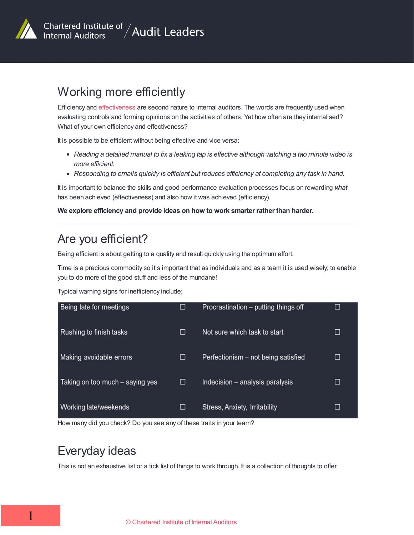

# Working more efficiently

Efficiency and [effectiveness](/resources/managing-internal-audit-activity/working-more-effectively/) are second nature to internal auditors. The words are frequently used when evaluating controls and forming opinions on the activities of others. Yet how often are they internalised? What of your own efficiency and effectiveness?

It is possible to be efficient without being effective and vice versa:

- Reading a detailed manual to fix a leaking tap is effective although watching a two minute video is *more efficient.*
- *Responding to emails quickly is efficient but reduces efficiency at completing any task in hand.*

It is important to balance the skills and good performance evaluation processes focus on rewarding *what* has been achieved (effectiveness) and also how it was achieved (efficiency).

#### **We explore efficiency and provide ideas on how to work smarter rather than harder.**

## Are you efficient?

Being efficient is about getting to a quality end result quickly using the optimum effort.

Time is a precious commodity so it's important that as individuals and as a team it is used wisely; to enable you to do more of the good stuff and less of the mundane!

Typical warning signs for inefficiency include;

| Being late for meetings                                                                       |   | Procrastination – putting things off | □      |
|-----------------------------------------------------------------------------------------------|---|--------------------------------------|--------|
| Rushing to finish tasks                                                                       |   | Not sure which task to start         | $\Box$ |
| Making avoidable errors                                                                       | □ | Perfectionism - not being satisfied  | □      |
| Taking on too much – saying yes                                                               | □ | Indecision - analysis paralysis      | □      |
| Working late/weekends<br>How many did you aboal? Do you ass any of these traits in your toom? | □ | Stress, Anxiety, Irritability        | □      |

How many did you check? Do you see any of these traits in your team?

### Everyday ideas

This is not an exhaustive list or a tick list of things to work through. It is a collection of thoughts to offer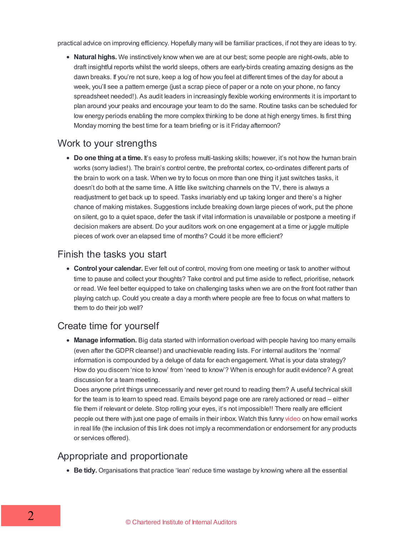practical advice on improving efficiency. Hopefully many will be familiar practices, if not they are ideas to try.

**Natural highs.** We instinctively know when we are at our best; some people are night-owls, able to draft insightful reports whilst the world sleeps, others are early-birds creating amazing designs as the dawn breaks. If you're not sure, keep a log of how you feel at different times of the day for about a week, you'll see a pattern emerge (just a scrap piece of paper or a note on your phone, no fancy spreadsheet needed!). As audit leaders in increasingly flexible working environments it is important to plan around your peaks and encourage your team to do the same. Routine tasks can be scheduled for low energy periods enabling the more complex thinking to be done at high energy times. Is first thing Monday morning the best time for a team briefing or is it Friday afternoon?

#### Work to your strengths

**Do one thing at a time.** It's easy to profess multi-tasking skills; however, it's not how the human brain works (sorry ladies!). The brain's control centre, the prefrontal cortex, co-ordinates different parts of the brain to work on a task. When we try to focus on more than one thing it just switches tasks, it doesn't do both at the same time. A little like switching channels on the TV, there is always a readjustment to get back up to speed. Tasks invariably end up taking longer and there's a higher chance of making mistakes. Suggestions include breaking down large pieces of work, put the phone on silent, go to a quiet space, defer the task if vital information is unavailable or postpone a meeting if decision makers are absent. Do your auditors work on one engagement at a time or juggle multiple pieces of work over an elapsed time of months? Could it be more efficient?

#### Finish the tasks you start

**Control your calendar.** Ever felt out of control, moving from one meeting or task to another without time to pause and collect your thoughts? Take control and put time aside to reflect, prioritise, network or read. We feel better equipped to take on challenging tasks when we are on the front foot rather than playing catch up. Could you create a day a month where people are free to focus on what matters to them to do their job well?

### Create time for yourself

**Manage information.** Big data started with information overload with people having too many emails (even after the GDPR cleanse!) and unachievable reading lists. For internal auditors the 'normal' information is compounded by a deluge of data for each engagement. What is your data strategy? How do you discern 'nice to know' from 'need to know'? When is enough for audit evidence? A great discussion for a team meeting.

Does anyone print things unnecessarily and never get round to reading them? A useful technical skill for the team is to learn to speed read. Emails beyond page one are rarely actioned or read – either file them if relevant or delete. Stop rolling your eyes, it's not impossible!! There really are efficient people out there with just one page of emails in their inbox. Watch this funny [video](https://youtu.be/HTgYHHKs0Zw) on how email works in real life (the inclusion of this link does not imply a recommendation or endorsement for any products or services offered).

### Appropriate and proportionate

**Be tidy.** Organisations that practice 'lean' reduce time wastage by knowing where all the essential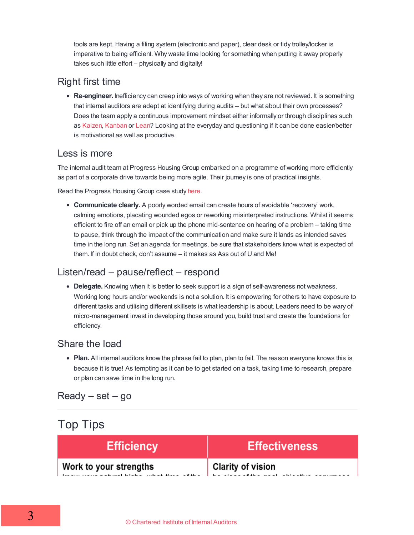tools are kept. Having a filing system (electronic and paper), clear desk or tidy trolley/locker is imperative to being efficient. Why waste time looking for something when putting it away properly takes such little effort – physically and digitally!

#### Right first time

**Re-engineer.** Inefficiency can creep into ways of working when they are not reviewed. It is something that internal auditors are adept at identifying during audits – but what about their own processes? Does the team apply a continuous improvement mindset either informally or through disciplines such as [Kaizen](https://work.qz.com/1183536/the-japanese-philosophy-of-kaizen-can-reinvent-your-daily-routine/), [Kanban](https://leankit.com/learn/kanban/what-is-kanban/) or [Lean?](https://leankit.com/learn/lean/lean-principles/) Looking at the everyday and questioning if it can be done easier/better is motivational as well as productive.

#### Less is more

The internal audit team at Progress Housing Group embarked on a programme of working more efficiently as part of a corporate drive towards being more agile. Their journey is one of practical insights.

Read the Progress Housing Group case study [here](/resources/managing-internal-audit-activity/working-more-efficiently/agile-audit-progress-housing-group-case-study/).

**Communicate clearly.** A poorly worded email can create hours of avoidable 'recovery' work, calming emotions, placating wounded egos or reworking misinterpreted instructions. Whilst it seems efficient to fire off an email or pick up the phone mid-sentence on hearing of a problem – taking time to pause, think through the impact of the communication and make sure it lands as intended saves time in the long run. Set an agenda for meetings, be sure that stakeholders know what is expected of them. If in doubt check, don't assume – it makes as Ass out of U and Me!

#### Listen/read – pause/reflect – respond

**Delegate.** Knowing when it is better to seek support is a sign of self-awareness not weakness. Working long hours and/or weekends is not a solution. It is empowering for others to have exposure to different tasks and utilising different skillsets is what leadership is about. Leaders need to be wary of micro-management invest in developing those around you, build trust and create the foundations for efficiency.

#### Share the load

• Plan. All internal auditors know the phrase fail to plan, plan to fail. The reason everyone knows this is because it is true! As tempting as it can be to get started on a task, taking time to research, prepare or plan can save time in the long run.

### $Ready - set - go$

| <b>Top Tips</b> |                        |                                                                |  |  |
|-----------------|------------------------|----------------------------------------------------------------|--|--|
|                 | <b>Efficiency</b>      | <b>Effectiveness</b>                                           |  |  |
|                 | Work to your strengths | Clarity of vision<br>he class of the seal, abiastive assumeses |  |  |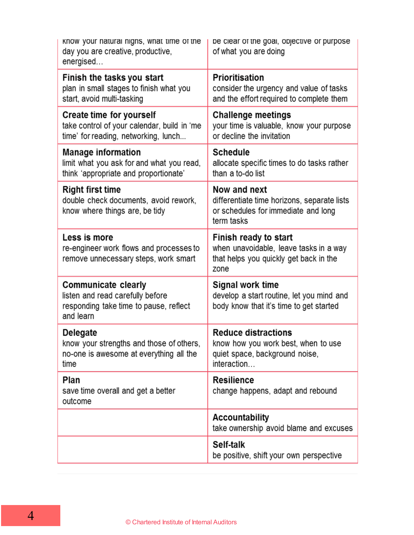| know your natural nighs, what time of the<br>day you are creative, productive,<br>energised                            | be clear of the goal, objective or purpose<br>of what you are doing                                                |
|------------------------------------------------------------------------------------------------------------------------|--------------------------------------------------------------------------------------------------------------------|
| Finish the tasks you start<br>plan in small stages to finish what you<br>start, avoid multi-tasking                    | Prioritisation<br>consider the urgency and value of tasks<br>and the effort required to complete them              |
| <b>Create time for yourself</b><br>take control of your calendar, build in 'me<br>time' for reading, networking, lunch | <b>Challenge meetings</b><br>your time is valuable, know your purpose<br>or decline the invitation                 |
| <b>Manage information</b><br>limit what you ask for and what you read,<br>think 'appropriate and proportionate'        | <b>Schedule</b><br>allocate specific times to do tasks rather<br>than a to-do list                                 |
| <b>Right first time</b><br>double check documents, avoid rework,<br>know where things are, be tidy                     | Now and next<br>differentiate time horizons, separate lists<br>or schedules for immediate and long<br>term tasks   |
| Less is more<br>re-engineer work flows and processes to<br>remove unnecessary steps, work smart                        | Finish ready to start<br>when unavoidable, leave tasks in a way<br>that helps you quickly get back in the<br>zone  |
| <b>Communicate clearly</b><br>listen and read carefully before<br>responding take time to pause, reflect<br>and learn  | Signal work time<br>develop a start routine, let you mind and<br>body know that it's time to get started           |
| <b>Delegate</b><br>know your strengths and those of others,<br>no-one is awesome at everything all the<br>time         | <b>Reduce distractions</b><br>know how you work best, when to use<br>quiet space, background noise,<br>interaction |
| Plan<br>save time overall and get a better<br>outcome                                                                  | <b>Resilience</b><br>change happens, adapt and rebound                                                             |
|                                                                                                                        | <b>Accountability</b><br>take ownership avoid blame and excuses                                                    |
|                                                                                                                        | Self-talk<br>be positive, shift your own perspective                                                               |